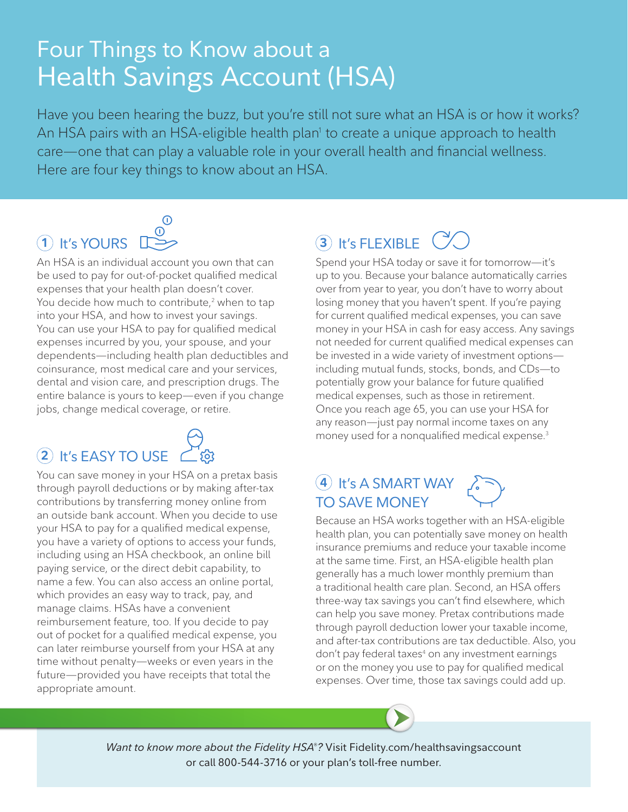# Four Things to Know about a Health Savings Account (HSA)

Have you been hearing the buzz, but you're still not sure what an HSA is or how it works? An HSA pairs with an HSA-eligible health plan<sup>1</sup> to create a unique approach to health care—one that can play a valuable role in your overall health and financial wellness. Here are four key things to know about an HSA.

### $\odot$ **1** It's YOURS

An HSA is an individual account you own that can be used to pay for out-of-pocket qualified medical expenses that your health plan doesn't cover. You decide how much to contribute,<sup>2</sup> when to tap into your HSA, and how to invest your savings. You can use your HSA to pay for qualified medical expenses incurred by you, your spouse, and your dependents—including health plan deductibles and coinsurance, most medical care and your services, dental and vision care, and prescription drugs. The entire balance is yours to keep—even if you change jobs, change medical coverage, or retire.

# **2** It's EASY TO USE

You can save money in your HSA on a pretax basis through payroll deductions or by making after-tax contributions by transferring money online from an outside bank account. When you decide to use your HSA to pay for a qualified medical expense, you have a variety of options to access your funds, including using an HSA checkbook, an online bill paying service, or the direct debit capability, to name a few. You can also access an online portal, which provides an easy way to track, pay, and manage claims. HSAs have a convenient reimbursement feature, too. If you decide to pay out of pocket for a qualified medical expense, you can later reimburse yourself from your HSA at any time without penalty—weeks or even years in the future—provided you have receipts that total the appropriate amount.

# **3** It's FLEXIBLE

Spend your HSA today or save it for tomorrow—it's up to you. Because your balance automatically carries over from year to year, you don't have to worry about losing money that you haven't spent. If you're paying for current qualified medical expenses, you can save money in your HSA in cash for easy access. Any savings not needed for current qualified medical expenses can be invested in a wide variety of investment options including mutual funds, stocks, bonds, and CDs—to potentially grow your balance for future qualified medical expenses, such as those in retirement. Once you reach age 65, you can use your HSA for any reason—just pay normal income taxes on any money used for a nonqualified medical expense.3

#### **4** It's A SMART WAY TO SAVE MONEY

Because an HSA works together with an HSA-eligible health plan, you can potentially save money on health insurance premiums and reduce your taxable income at the same time. First, an HSA-eligible health plan generally has a much lower monthly premium than a traditional health care plan. Second, an HSA offers three-way tax savings you can't find elsewhere, which can help you save money. Pretax contributions made through payroll deduction lower your taxable income, and after-tax contributions are tax deductible. Also, you don't pay federal taxes<sup>4</sup> on any investment earnings or on the money you use to pay for qualified medical expenses. Over time, those tax savings could add up.

*Want to know more about the Fidelity HSA*®*?* Visit [Fidelity.com/healthsavingsaccount](http://www.fidelity.com/healthsavingsaccount) or call 800-544-3716 or your plan's toll-free number.